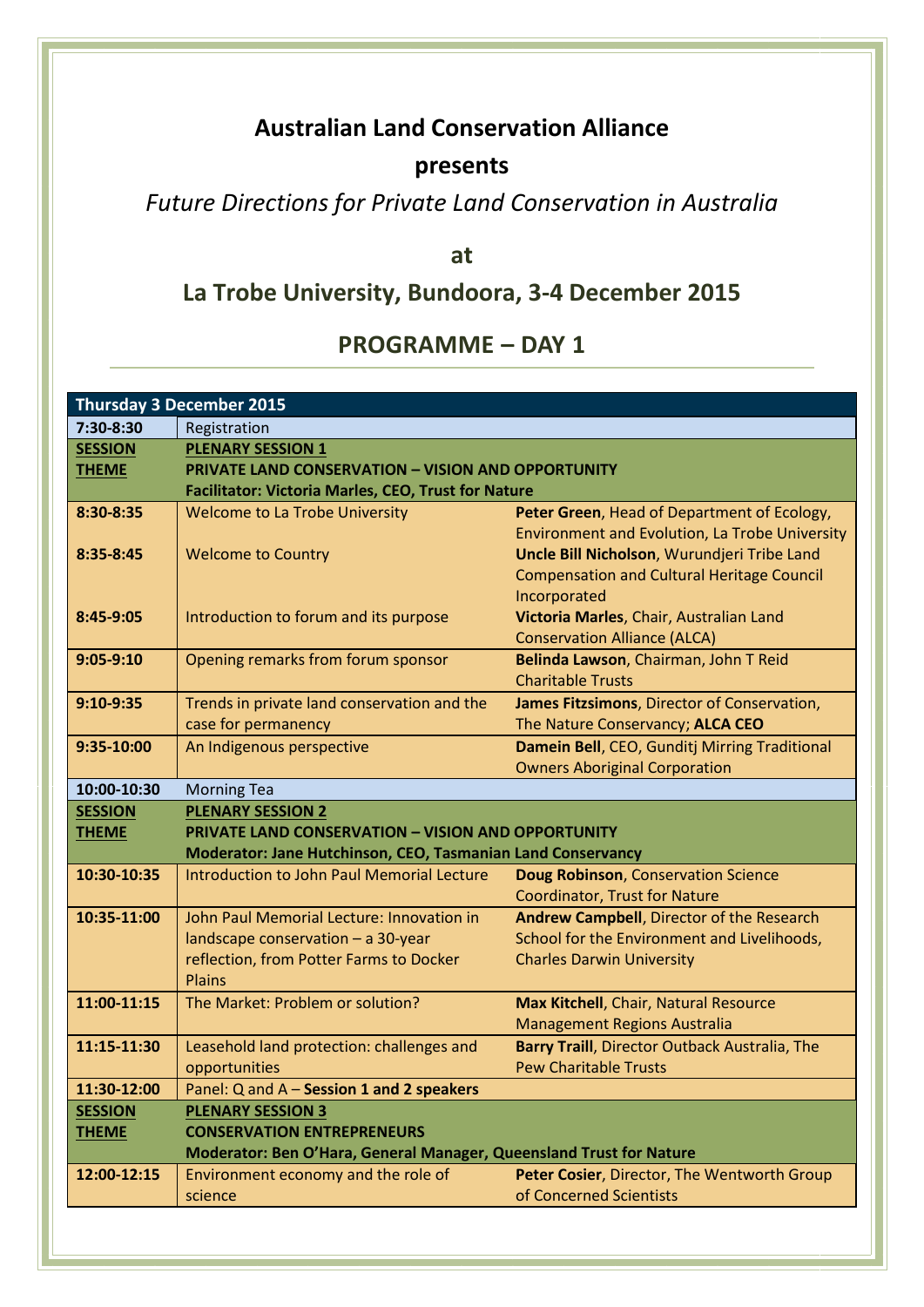## **Australian Land Conservation Alliance**

#### **presents**

*Future Directions for Private Land Conservation in Australia*

**at**

# **La Trobe University, Bundoora, 3-4 December 2015**

## **PROGRAMME – DAY 1**

| <b>Thursday 3 December 2015</b> |                                                                     |                                                            |  |  |
|---------------------------------|---------------------------------------------------------------------|------------------------------------------------------------|--|--|
| 7:30-8:30                       | Registration                                                        |                                                            |  |  |
| <b>SESSION</b>                  | <b>PLENARY SESSION 1</b>                                            |                                                            |  |  |
| <b>THEME</b>                    | <b>PRIVATE LAND CONSERVATION - VISION AND OPPORTUNITY</b>           |                                                            |  |  |
|                                 |                                                                     | <b>Facilitator: Victoria Marles, CEO, Trust for Nature</b> |  |  |
| 8:30-8:35                       | <b>Welcome to La Trobe University</b>                               | Peter Green, Head of Department of Ecology,                |  |  |
|                                 |                                                                     | <b>Environment and Evolution, La Trobe University</b>      |  |  |
| 8:35-8:45                       | <b>Welcome to Country</b>                                           | Uncle Bill Nicholson, Wurundjeri Tribe Land                |  |  |
|                                 |                                                                     | <b>Compensation and Cultural Heritage Council</b>          |  |  |
|                                 |                                                                     | Incorporated                                               |  |  |
| 8:45-9:05                       | Introduction to forum and its purpose                               | Victoria Marles, Chair, Australian Land                    |  |  |
|                                 |                                                                     | <b>Conservation Alliance (ALCA)</b>                        |  |  |
| $9:05-9:10$                     | Opening remarks from forum sponsor                                  | Belinda Lawson, Chairman, John T Reid                      |  |  |
|                                 |                                                                     | <b>Charitable Trusts</b>                                   |  |  |
| $9:10-9:35$                     | Trends in private land conservation and the                         | James Fitzsimons, Director of Conservation,                |  |  |
|                                 | case for permanency                                                 | The Nature Conservancy; ALCA CEO                           |  |  |
| 9:35-10:00                      | An Indigenous perspective                                           | Damein Bell, CEO, Gunditj Mirring Traditional              |  |  |
| 10:00-10:30                     |                                                                     | <b>Owners Aboriginal Corporation</b>                       |  |  |
| <b>SESSION</b>                  | <b>Morning Tea</b><br><b>PLENARY SESSION 2</b>                      |                                                            |  |  |
| <b>THEME</b>                    | <b>PRIVATE LAND CONSERVATION - VISION AND OPPORTUNITY</b>           |                                                            |  |  |
|                                 | Moderator: Jane Hutchinson, CEO, Tasmanian Land Conservancy         |                                                            |  |  |
| 10:30-10:35                     | Introduction to John Paul Memorial Lecture                          | <b>Doug Robinson, Conservation Science</b>                 |  |  |
|                                 |                                                                     | <b>Coordinator, Trust for Nature</b>                       |  |  |
| 10:35-11:00                     | John Paul Memorial Lecture: Innovation in                           | Andrew Campbell, Director of the Research                  |  |  |
|                                 | landscape conservation - a 30-year                                  | School for the Environment and Livelihoods,                |  |  |
|                                 | reflection, from Potter Farms to Docker                             | <b>Charles Darwin University</b>                           |  |  |
|                                 | <b>Plains</b>                                                       |                                                            |  |  |
| 11:00-11:15                     | The Market: Problem or solution?                                    | Max Kitchell, Chair, Natural Resource                      |  |  |
|                                 |                                                                     | <b>Management Regions Australia</b>                        |  |  |
| 11:15-11:30                     | Leasehold land protection: challenges and                           | Barry Traill, Director Outback Australia, The              |  |  |
|                                 | opportunities                                                       | <b>Pew Charitable Trusts</b>                               |  |  |
| 11:30-12:00                     | Panel: Q and A - Session 1 and 2 speakers                           |                                                            |  |  |
| <b>SESSION</b>                  | <b>PLENARY SESSION 3</b>                                            |                                                            |  |  |
| <b>THEME</b>                    | <b>CONSERVATION ENTREPRENEURS</b>                                   |                                                            |  |  |
|                                 | Moderator: Ben O'Hara, General Manager, Queensland Trust for Nature |                                                            |  |  |
| 12:00-12:15                     | Environment economy and the role of                                 | Peter Cosier, Director, The Wentworth Group                |  |  |
|                                 | science                                                             | of Concerned Scientists                                    |  |  |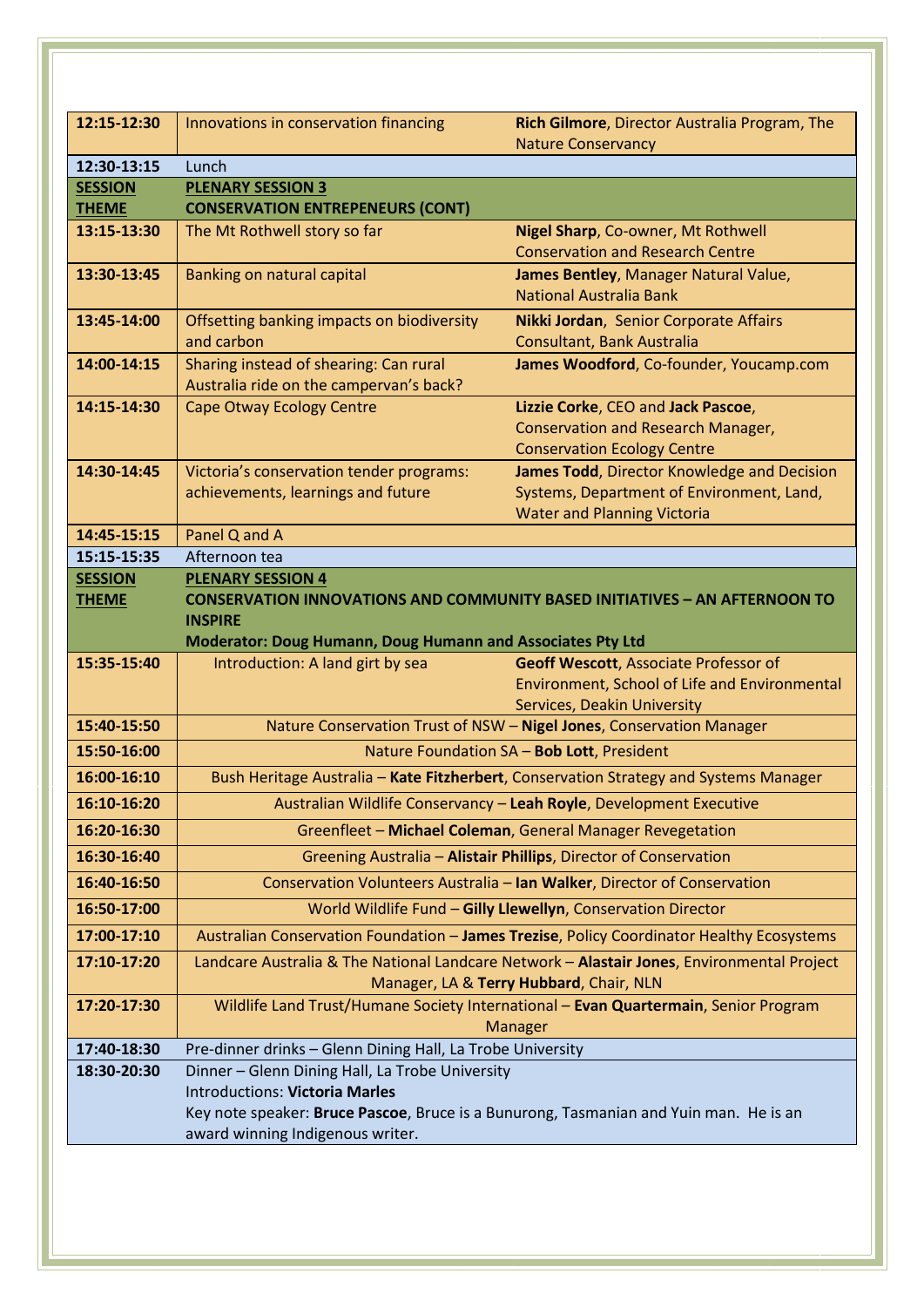| 12:15-12:30                    | Innovations in conservation financing                                                    | Rich Gilmore, Director Australia Program, The                                                                                     |  |
|--------------------------------|------------------------------------------------------------------------------------------|-----------------------------------------------------------------------------------------------------------------------------------|--|
|                                |                                                                                          | <b>Nature Conservancy</b>                                                                                                         |  |
| 12:30-13:15                    | Lunch                                                                                    |                                                                                                                                   |  |
| <b>SESSION</b>                 | <b>PLENARY SESSION 3</b>                                                                 |                                                                                                                                   |  |
| <b>THEME</b>                   | <b>CONSERVATION ENTREPENEURS (CONT)</b>                                                  |                                                                                                                                   |  |
| 13:15-13:30                    | The Mt Rothwell story so far                                                             | Nigel Sharp, Co-owner, Mt Rothwell<br><b>Conservation and Research Centre</b>                                                     |  |
| 13:30-13:45                    | Banking on natural capital                                                               | James Bentley, Manager Natural Value,                                                                                             |  |
|                                |                                                                                          | <b>National Australia Bank</b>                                                                                                    |  |
| 13:45-14:00                    | Offsetting banking impacts on biodiversity                                               | Nikki Jordan, Senior Corporate Affairs                                                                                            |  |
|                                | and carbon                                                                               | Consultant, Bank Australia                                                                                                        |  |
| 14:00-14:15                    | Sharing instead of shearing: Can rural                                                   | James Woodford, Co-founder, Youcamp.com                                                                                           |  |
| 14:15-14:30                    | Australia ride on the campervan's back?<br><b>Cape Otway Ecology Centre</b>              | Lizzie Corke, CEO and Jack Pascoe,                                                                                                |  |
|                                |                                                                                          | <b>Conservation and Research Manager,</b>                                                                                         |  |
|                                |                                                                                          | <b>Conservation Ecology Centre</b>                                                                                                |  |
| 14:30-14:45                    | Victoria's conservation tender programs:                                                 | James Todd, Director Knowledge and Decision                                                                                       |  |
|                                | achievements, learnings and future                                                       | Systems, Department of Environment, Land,                                                                                         |  |
|                                |                                                                                          | <b>Water and Planning Victoria</b>                                                                                                |  |
| 14:45-15:15                    | Panel Q and A                                                                            |                                                                                                                                   |  |
| 15:15-15:35                    | Afternoon tea                                                                            |                                                                                                                                   |  |
| <b>SESSION</b><br><b>THEME</b> | <b>PLENARY SESSION 4</b>                                                                 | <b>CONSERVATION INNOVATIONS AND COMMUNITY BASED INITIATIVES - AN AFTERNOON TO</b>                                                 |  |
|                                | <b>INSPIRE</b>                                                                           |                                                                                                                                   |  |
|                                | Moderator: Doug Humann, Doug Humann and Associates Pty Ltd                               |                                                                                                                                   |  |
| 15:35-15:40                    | Introduction: A land girt by sea                                                         | Geoff Wescott, Associate Professor of                                                                                             |  |
|                                |                                                                                          | Environment, School of Life and Environmental                                                                                     |  |
|                                |                                                                                          | <b>Services, Deakin University</b>                                                                                                |  |
| 15:40-15:50                    |                                                                                          | Nature Conservation Trust of NSW - Nigel Jones, Conservation Manager                                                              |  |
| 15:50-16:00<br>16:00-16:10     |                                                                                          | Nature Foundation SA - Bob Lott, President                                                                                        |  |
| 16:10-16:20                    |                                                                                          | Bush Heritage Australia - Kate Fitzherbert, Conservation Strategy and Systems Manager                                             |  |
| 16:20-16:30                    |                                                                                          | Australian Wildlife Conservancy - Leah Royle, Development Executive<br>Greenfleet - Michael Coleman, General Manager Revegetation |  |
| 16:30-16:40                    |                                                                                          | Greening Australia - Alistair Phillips, Director of Conservation                                                                  |  |
| 16:40-16:50                    |                                                                                          | Conservation Volunteers Australia - Ian Walker, Director of Conservation                                                          |  |
| 16:50-17:00                    |                                                                                          | World Wildlife Fund - Gilly Llewellyn, Conservation Director                                                                      |  |
| 17:00-17:10                    |                                                                                          | Australian Conservation Foundation - James Trezise, Policy Coordinator Healthy Ecosystems                                         |  |
| 17:10-17:20                    |                                                                                          | Landcare Australia & The National Landcare Network - Alastair Jones, Environmental Project                                        |  |
|                                |                                                                                          | Manager, LA & Terry Hubbard, Chair, NLN                                                                                           |  |
| 17:20-17:30                    |                                                                                          | Wildlife Land Trust/Humane Society International - Evan Quartermain, Senior Program                                               |  |
|                                |                                                                                          | Manager                                                                                                                           |  |
| 17:40-18:30                    | Pre-dinner drinks - Glenn Dining Hall, La Trobe University                               |                                                                                                                                   |  |
| 18:30-20:30                    | Dinner - Glenn Dining Hall, La Trobe University<br><b>Introductions: Victoria Marles</b> |                                                                                                                                   |  |
|                                | Key note speaker: Bruce Pascoe, Bruce is a Bunurong, Tasmanian and Yuin man. He is an    |                                                                                                                                   |  |
|                                | award winning Indigenous writer.                                                         |                                                                                                                                   |  |
|                                |                                                                                          |                                                                                                                                   |  |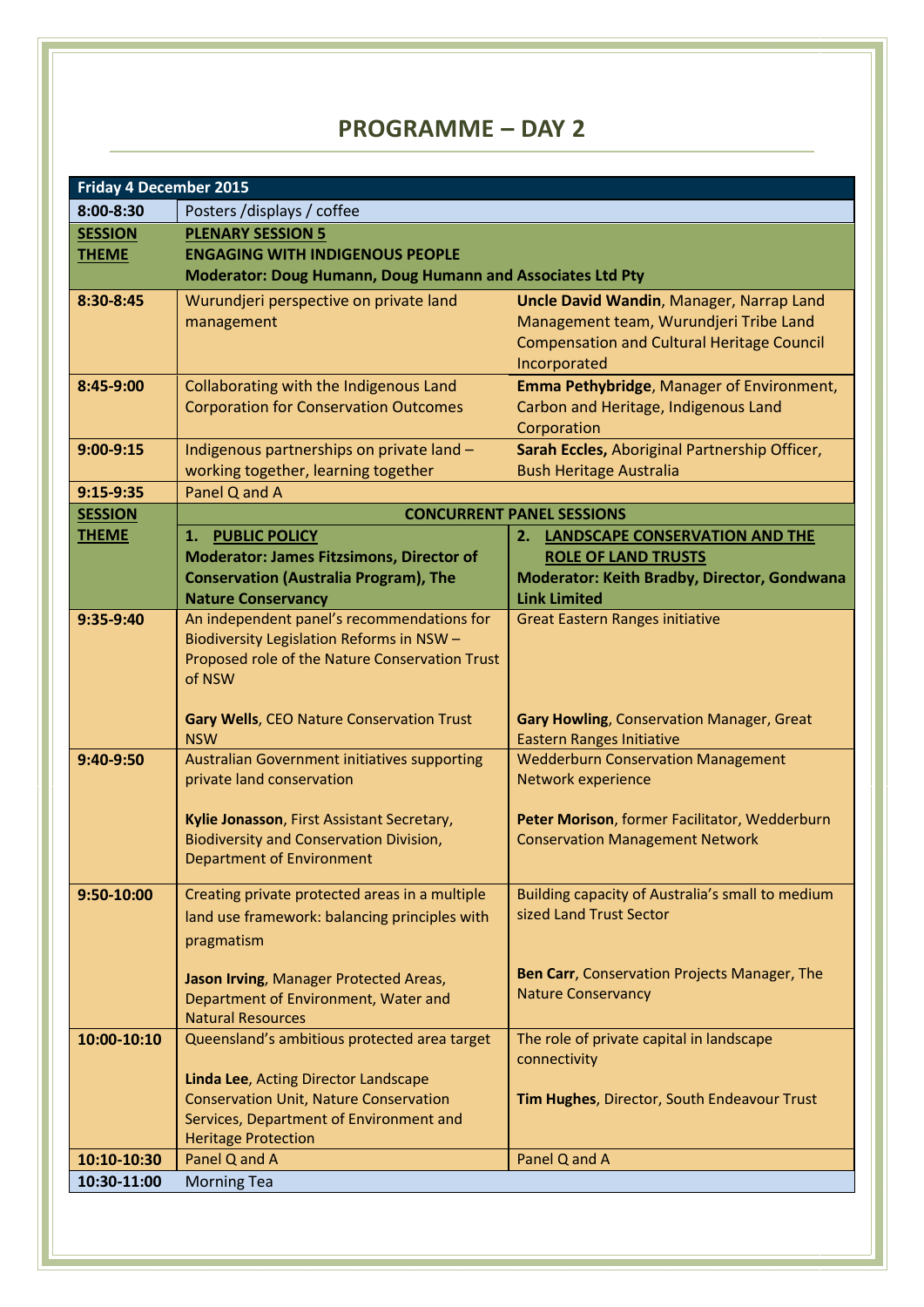## **PROGRAMME – DAY 2**

| <b>Friday 4 December 2015</b> |                                                                                  |                                                                             |  |
|-------------------------------|----------------------------------------------------------------------------------|-----------------------------------------------------------------------------|--|
| $8:00 - 8:30$                 | Posters /displays / coffee                                                       |                                                                             |  |
| <b>SESSION</b>                | <b>PLENARY SESSION 5</b>                                                         |                                                                             |  |
| <b>THEME</b>                  | <b>ENGAGING WITH INDIGENOUS PEOPLE</b>                                           |                                                                             |  |
|                               | <b>Moderator: Doug Humann, Doug Humann and Associates Ltd Pty</b>                |                                                                             |  |
| 8:30-8:45                     | Wurundjeri perspective on private land                                           | <b>Uncle David Wandin, Manager, Narrap Land</b>                             |  |
|                               | management                                                                       | Management team, Wurundjeri Tribe Land                                      |  |
|                               |                                                                                  | <b>Compensation and Cultural Heritage Council</b>                           |  |
|                               |                                                                                  | Incorporated                                                                |  |
| 8:45-9:00                     | Collaborating with the Indigenous Land                                           | Emma Pethybridge, Manager of Environment,                                   |  |
|                               | <b>Corporation for Conservation Outcomes</b>                                     | Carbon and Heritage, Indigenous Land                                        |  |
|                               |                                                                                  | Corporation                                                                 |  |
| $9:00-9:15$                   | Indigenous partnerships on private land -                                        | Sarah Eccles, Aboriginal Partnership Officer,                               |  |
|                               | working together, learning together                                              | <b>Bush Heritage Australia</b>                                              |  |
| $9:15-9:35$                   | Panel Q and A                                                                    |                                                                             |  |
| <b>SESSION</b>                |                                                                                  | <b>CONCURRENT PANEL SESSIONS</b>                                            |  |
| <b>THEME</b>                  | <b>PUBLIC POLICY</b><br>1.<br><b>Moderator: James Fitzsimons, Director of</b>    | 2. LANDSCAPE CONSERVATION AND THE<br><b>ROLE OF LAND TRUSTS</b>             |  |
|                               | <b>Conservation (Australia Program), The</b>                                     | Moderator: Keith Bradby, Director, Gondwana                                 |  |
|                               | <b>Nature Conservancy</b>                                                        | <b>Link Limited</b>                                                         |  |
| 9:35-9:40                     | An independent panel's recommendations for                                       | <b>Great Eastern Ranges initiative</b>                                      |  |
|                               | Biodiversity Legislation Reforms in NSW -                                        |                                                                             |  |
|                               | Proposed role of the Nature Conservation Trust                                   |                                                                             |  |
|                               | of NSW                                                                           |                                                                             |  |
|                               |                                                                                  |                                                                             |  |
|                               | Gary Wells, CEO Nature Conservation Trust                                        | Gary Howling, Conservation Manager, Great                                   |  |
|                               | <b>NSW</b>                                                                       | <b>Eastern Ranges Initiative</b>                                            |  |
| 9:40-9:50                     | <b>Australian Government initiatives supporting</b><br>private land conservation | <b>Wedderburn Conservation Management</b><br>Network experience             |  |
|                               |                                                                                  |                                                                             |  |
|                               | Kylie Jonasson, First Assistant Secretary,                                       | Peter Morison, former Facilitator, Wedderburn                               |  |
|                               | <b>Biodiversity and Conservation Division,</b>                                   | <b>Conservation Management Network</b>                                      |  |
|                               | <b>Department of Environment</b>                                                 |                                                                             |  |
|                               |                                                                                  |                                                                             |  |
| 9:50-10:00                    | Creating private protected areas in a multiple                                   | Building capacity of Australia's small to medium<br>sized Land Trust Sector |  |
|                               | land use framework: balancing principles with                                    |                                                                             |  |
|                               | pragmatism                                                                       |                                                                             |  |
|                               | Jason Irving, Manager Protected Areas,                                           | Ben Carr, Conservation Projects Manager, The                                |  |
|                               | Department of Environment, Water and                                             | <b>Nature Conservancy</b>                                                   |  |
|                               | <b>Natural Resources</b>                                                         |                                                                             |  |
| 10:00-10:10                   | Queensland's ambitious protected area target                                     | The role of private capital in landscape                                    |  |
|                               |                                                                                  | connectivity                                                                |  |
|                               | Linda Lee, Acting Director Landscape                                             |                                                                             |  |
|                               | <b>Conservation Unit, Nature Conservation</b>                                    | Tim Hughes, Director, South Endeavour Trust                                 |  |
|                               | Services, Department of Environment and                                          |                                                                             |  |
| 10:10-10:30                   | <b>Heritage Protection</b><br>Panel Q and A                                      | Panel Q and A                                                               |  |
| 10:30-11:00                   | <b>Morning Tea</b>                                                               |                                                                             |  |
|                               |                                                                                  |                                                                             |  |